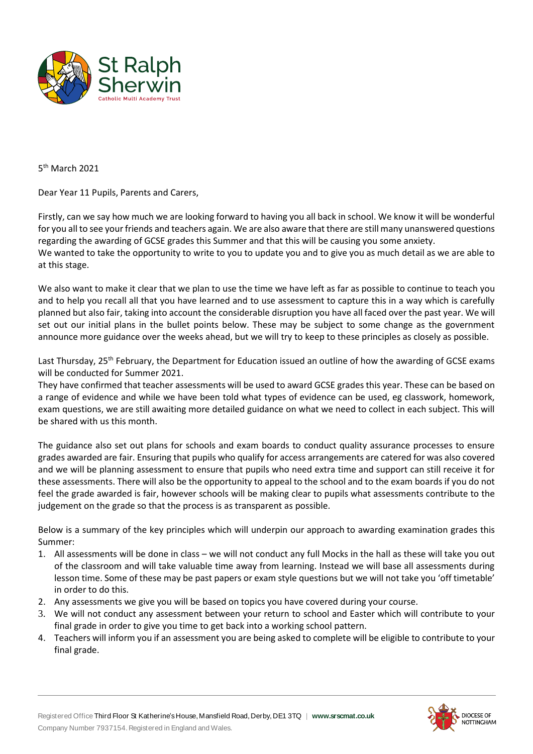

5<sup>th</sup> March 2021

Dear Year 11 Pupils, Parents and Carers,

Firstly, can we say how much we are looking forward to having you all back in school. We know it will be wonderful for you all to see your friends and teachers again. We are also aware that there are still many unanswered questions regarding the awarding of GCSE grades this Summer and that this will be causing you some anxiety. We wanted to take the opportunity to write to you to update you and to give you as much detail as we are able to at this stage.

We also want to make it clear that we plan to use the time we have left as far as possible to continue to teach you and to help you recall all that you have learned and to use assessment to capture this in a way which is carefully planned but also fair, taking into account the considerable disruption you have all faced over the past year. We will set out our initial plans in the bullet points below. These may be subject to some change as the government announce more guidance over the weeks ahead, but we will try to keep to these principles as closely as possible.

Last Thursday, 25<sup>th</sup> February, the Department for Education issued an outline of how the awarding of GCSE exams will be conducted for Summer 2021.

They have confirmed that teacher assessments will be used to award GCSE grades this year. These can be based on a range of evidence and while we have been told what types of evidence can be used, eg classwork, homework, exam questions, we are still awaiting more detailed guidance on what we need to collect in each subject. This will be shared with us this month.

The guidance also set out plans for schools and exam boards to conduct quality assurance processes to ensure grades awarded are fair. Ensuring that pupils who qualify for access arrangements are catered for was also covered and we will be planning assessment to ensure that pupils who need extra time and support can still receive it for these assessments. There will also be the opportunity to appeal to the school and to the exam boards if you do not feel the grade awarded is fair, however schools will be making clear to pupils what assessments contribute to the judgement on the grade so that the process is as transparent as possible.

Below is a summary of the key principles which will underpin our approach to awarding examination grades this Summer:

- 1. All assessments will be done in class we will not conduct any full Mocks in the hall as these will take you out of the classroom and will take valuable time away from learning. Instead we will base all assessments during lesson time. Some of these may be past papers or exam style questions but we will not take you 'off timetable' in order to do this.
- 2. Any assessments we give you will be based on topics you have covered during your course.
- 3. We will not conduct any assessment between your return to school and Easter which will contribute to your final grade in order to give you time to get back into a working school pattern.
- 4. Teachers will inform you if an assessment you are being asked to complete will be eligible to contribute to your final grade.